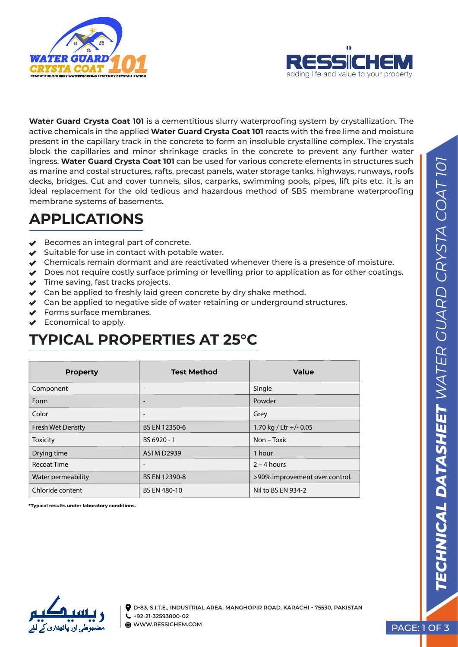



**Water Guard Crysta Coat 101** is a cementitious slurry waterproofing system by crystallization. The active chemicals in the applied **Water Guard Crysta Coat 101** reacts with the free lime and moisture present in the capillary track in the concrete to form an insoluble crystalline complex. The crystals block the capillaries and minor shrinkage cracks in the concrete to prevent any further water ingress. **Water Guard Crysta Coat 101** can be used for various concrete elements in structures such as marine and costal structures, rafts, precast panels, water storage tanks, highways, runways, roofs decks, bridges. Cut and cover tunnels, silos, carparks, swimming pools, pipes, lift pits etc. it is an ideal replacement for the old tedious and hazardous method of SBS membrane waterproofing membrane systems of basements.

# **APPLICATIONS**

- $\blacktriangleright$  Becomes an integral part of concrete.
- $\blacktriangleright$  Suitable for use in contact with potable water.
- $\blacktriangleright$  Chemicals remain dormant and are reactivated whenever there is a presence of moisture.
- $\blacktriangleright$  Does not require costly surface priming or levelling prior to application as for other coatings.
- $\blacktriangleright$  Time saving, fast tracks projects.
- $\blacktriangleright$  Can be applied to freshly laid green concrete by dry shake method.
- ◆ Can be applied to negative side of water retaining or underground structures.
- ◆ Forms surface membranes.
- Economical to apply.

#### **TYPICAL PROPERTIES AT 25°C**

| <b>Property</b>          | <b>Test Method</b>       | <b>Value</b>                   |
|--------------------------|--------------------------|--------------------------------|
| Component                | $\overline{\phantom{a}}$ | Single                         |
| Form                     | $\overline{\phantom{a}}$ | Powder                         |
| Color                    | $\overline{\phantom{a}}$ | Grey                           |
| <b>Fresh Wet Density</b> | BS EN 12350-6            | 1.70 kg / Ltr +/- 0.05         |
| <b>Toxicity</b>          | BS 6920 - 1              | Non – Toxic                    |
| Drying time              | <b>ASTM D2939</b>        | 1 hour                         |
| <b>Recoat Time</b>       | $\overline{\phantom{a}}$ | $2 - 4$ hours                  |
| Water permeability       | BS EN 12390-8            | >90% improvement over control. |
| Chloride content         | <b>BS EN 480-10</b>      | Nil to BS EN 934-2             |

**\*Typical results under laboratory conditions.**

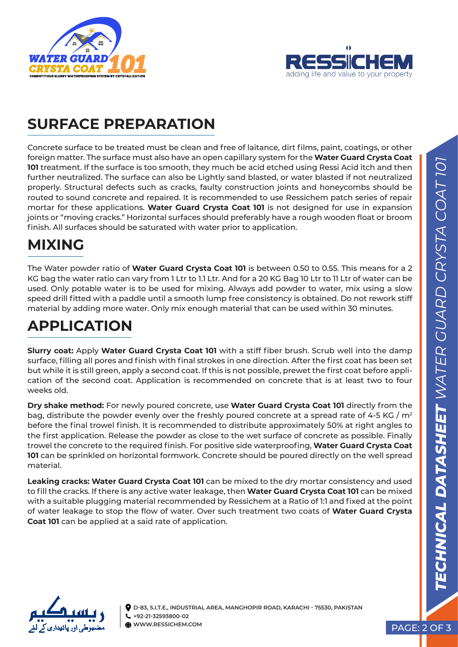



#### **SURFACE PREPARATION**

Concrete surface to be treated must be clean and free of laitance, dirt films, paint, coatings, or other foreign matter. The surface must also have an open capillary system for the **Water Guard Crysta Coat 101** treatment. If the surface is too smooth, they much be acid etched using Ressi Acid itch and then further neutralized. The surface can also be Lightly sand blasted, or water blasted if not neutralized properly. Structural defects such as cracks, faulty construction joints and honeycombs should be routed to sound concrete and repaired. It is recommended to use Ressichem patch series of repair mortar for these applications. **Water Guard Crysta Coat 101** is not designed for use in expansion joints or "moving cracks." Horizontal surfaces should preferably have a rough wooden float or broom finish. All surfaces should be saturated with water prior to application.

#### **MIXING**

The Water powder ratio of **Water Guard Crysta Coat 101** is between 0.50 to 0.55. This means for a 2 KG bag the water ratio can vary from 1 Ltr to 1.1 Ltr. And for a 20 KG Bag 10 Ltr to 11 Ltr of water can be used. Only potable water is to be used for mixing. Always add powder to water, mix using a slow speed drill fitted with a paddle until a smooth lump free consistency is obtained. Do not rework stiff material by adding more water. Only mix enough material that can be used within 30 minutes.

# **APPLICATION**

**Slurry coat:** Apply **Water Guard Crysta Coat 101** with a stiff fiber brush. Scrub well into the damp surface, filling all pores and finish with final strokes in one direction. After the first coat has been set but while it is still green, apply a second coat. If this is not possible, prewet the first coat before application of the second coat. Application is recommended on concrete that is at least two to four weeks old.

**Dry shake method:** For newly poured concrete, use **Water Guard Crysta Coat 101** directly from the bag, distribute the powder evenly over the freshly poured concrete at a spread rate of 4-5 KG /  $m^2$ before the final trowel finish. It is recommended to distribute approximately 50% at right angles to the first application. Release the powder as close to the wet surface of concrete as possible. Finally trowel the concrete to the required finish. For positive side waterproofing, **Water Guard Crysta Coat 101** can be sprinkled on horizontal formwork. Concrete should be poured directly on the well spread material.

**Leaking cracks: Water Guard Crysta Coat 101** can be mixed to the dry mortar consistency and used to fill the cracks. If there is any active water leakage, then **Water Guard Crysta Coat 101** can be mixed with a suitable plugging material recommended by Ressichem at a Ratio of 1:1 and fixed at the point of water leakage to stop the flow of water. Over such treatment two coats of **Water Guard Crysta Coat 101** can be applied at a said rate of application.